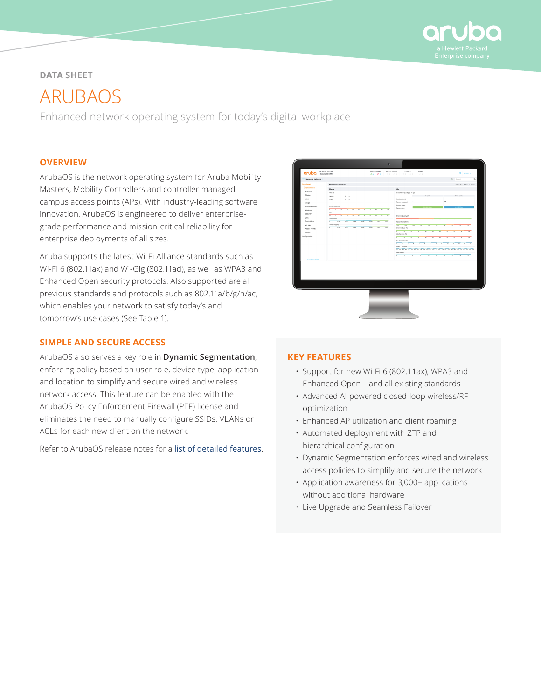

# **DATA SHEET**

ARUBAOS

Enhanced network operating system for today's digital workplace

# **OVERVIEW**

ArubaOS is the network operating system for Aruba Mobility Masters, Mobility Controllers and controller-managed campus access points (APs). With industry-leading software innovation, ArubaOS is engineered to deliver enterprisegrade performance and mission-critical reliability for enterprise deployments of all sizes.

Aruba supports the latest Wi-Fi Alliance standards such as Wi-Fi 6 (802.11ax) and Wi-Gig (802.11ad), as well as WPA3 and Enhanced Open security protocols. Also supported are all previous standards and protocols such as 802.11a/b/g/n/ac, which enables your network to satisfy today's and tomorrow's use cases (See Table 1).

# **SIMPLE AND SECURE ACCESS**

ArubaOS also serves a key role in **Dynamic Segmentation**, enforcing policy based on user role, device type, application and location to simplify and secure wired and wireless network access. This feature can be enabled with the ArubaOS Policy Enforcement Firewall (PEF) license and eliminates the need to manually configure SSIDs, VLANs or ACLs for each new client on the network.

Refer to ArubaOS release notes for a [list of detailed features](https://support.arubanetworks.com/Documentation/tabid/77/DMXModule/512/Default.aspx?EntryId=8862).



# **KEY FEATURES**

- Support for new Wi-Fi 6 (802.11ax), WPA3 and Enhanced Open – and all existing standards
- Advanced AI-powered closed-loop wireless/RF optimization
- Enhanced AP utilization and client roaming
- Automated deployment with ZTP and hierarchical configuration
- Dynamic Segmentation enforces wired and wireless access policies to simplify and secure the network
- Application awareness for 3,000+ applications without additional hardware
- Live Upgrade and Seamless Failover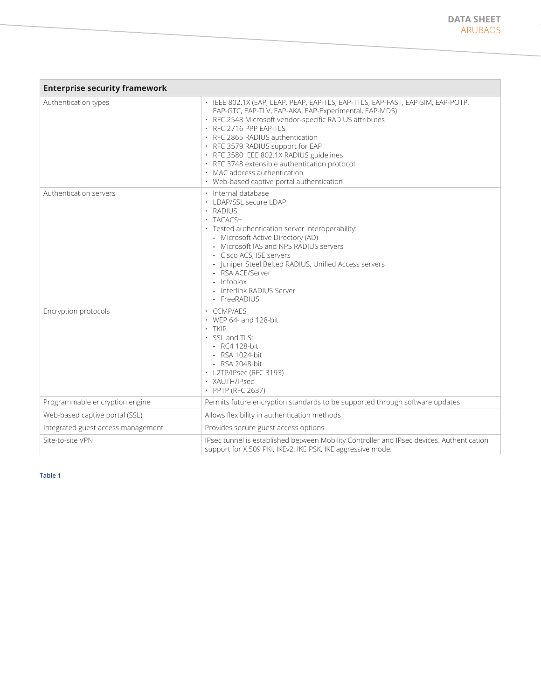| <b>Enterprise security framework</b> |                                                                                                                                                                                                                                                                                                                                                                                                                                                                                 |  |
|--------------------------------------|---------------------------------------------------------------------------------------------------------------------------------------------------------------------------------------------------------------------------------------------------------------------------------------------------------------------------------------------------------------------------------------------------------------------------------------------------------------------------------|--|
| Authentication types                 | · IEEE 802.1X (EAP, LEAP, PEAP, EAP-TLS, EAP-TTLS, EAP-FAST, EAP-SIM, EAP-POTP,<br>EAP-GTC, EAP-TLV, EAP-AKA, EAP-Experimental, EAP-MD5)<br>· RFC 2548 Microsoft vendor-specific RADIUS attributes<br>· RFC 2716 PPP EAP-TLS<br>· RFC 2865 RADIUS authentication<br>· RFC 3579 RADIUS support for EAP<br>· RFC 3580 IEEE 802.1X RADIUS guidelines<br>· RFC 3748 extensible authentication protocol<br>• MAC address authentication<br>• Web-based captive portal authentication |  |
| Authentication servers               | · Internal database<br>· LDAP/SSL secure LDAP<br>· RADIUS<br>$\cdot$ TACACS+<br>· Tested authentication server interoperability:<br>- Microsoft Active Directory (AD)<br>- Microsoft IAS and NPS RADIUS servers<br>- Cisco ACS, ISE servers<br>- Juniper Steel Belted RADIUS, Unified Access servers<br>- RSA ACE/Server<br>- Infoblox<br>- Interlink RADIUS Server<br>- FreeRADIUS                                                                                             |  |
| Encryption protocols                 | • CCMP/AES<br>$\cdot$ WEP 64- and 128-bit<br>$\cdot$ TKIP<br>$\cdot$ SSL and TLS:<br>$-$ RC4 128-bit<br>- RSA 1024-bit<br>- RSA 2048-bit<br>• L2TP/IPsec (RFC 3193)<br>· XAUTH/IPsec<br>• PPTP (RFC 2637)                                                                                                                                                                                                                                                                       |  |
| Programmable encryption engine       | Permits future encryption standards to be supported through software updates                                                                                                                                                                                                                                                                                                                                                                                                    |  |
| Web-based captive portal (SSL)       | Allows flexibility in authentication methods                                                                                                                                                                                                                                                                                                                                                                                                                                    |  |
| Integrated guest access management   | Provides secure guest access options                                                                                                                                                                                                                                                                                                                                                                                                                                            |  |
| Site-to-site VPN                     | IPsec tunnel is established between Mobility Controller and IPsec devices. Authentication<br>support for X.509 PKI, IKEv2, IKE PSK, IKE aggressive mode.                                                                                                                                                                                                                                                                                                                        |  |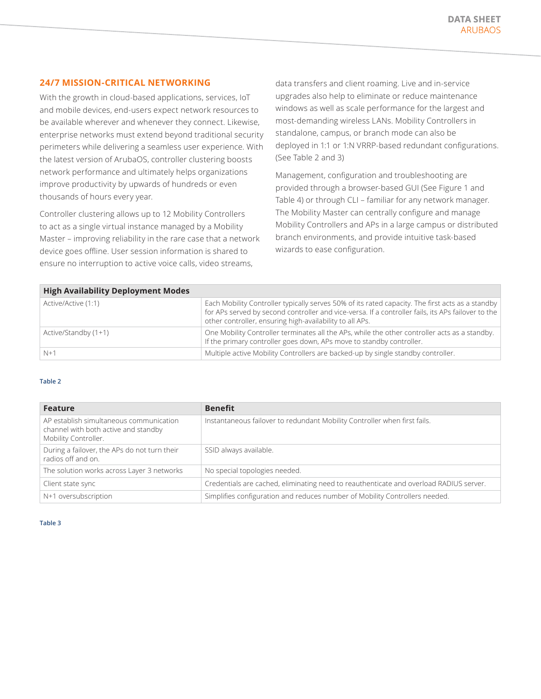# **24/7 MISSION-CRITICAL NETWORKING**

With the growth in cloud-based applications, services, IoT and mobile devices, end-users expect network resources to be available wherever and whenever they connect. Likewise, enterprise networks must extend beyond traditional security perimeters while delivering a seamless user experience. With the latest version of ArubaOS, controller clustering boosts network performance and ultimately helps organizations improve productivity by upwards of hundreds or even thousands of hours every year.

Controller clustering allows up to 12 Mobility Controllers to act as a single virtual instance managed by a Mobility Master – improving reliability in the rare case that a network device goes offline. User session information is shared to ensure no interruption to active voice calls, video streams,

data transfers and client roaming. Live and in-service upgrades also help to eliminate or reduce maintenance windows as well as scale performance for the largest and most-demanding wireless LANs. Mobility Controllers in standalone, campus, or branch mode can also be deployed in 1:1 or 1:N VRRP-based redundant configurations. (See Table 2 and 3)

Management, configuration and troubleshooting are provided through a browser-based GUI (See Figure 1 and Table 4) or through CLI – familiar for any network manager. The Mobility Master can centrally configure and manage Mobility Controllers and APs in a large campus or distributed branch environments, and provide intuitive task-based wizards to ease configuration.

| <b>High Availability Deployment Modes</b> |                                                                                                                                                                                                                                                                    |  |  |
|-------------------------------------------|--------------------------------------------------------------------------------------------------------------------------------------------------------------------------------------------------------------------------------------------------------------------|--|--|
| Active/Active (1:1)                       | Each Mobility Controller typically serves 50% of its rated capacity. The first acts as a standby<br>for APs served by second controller and vice-versa. If a controller fails, its APs failover to the<br>other controller, ensuring high-availability to all APs. |  |  |
| Active/Standby (1+1)                      | One Mobility Controller terminates all the APs, while the other controller acts as a standby.<br>If the primary controller goes down, APs move to standby controller.                                                                                              |  |  |
| $N+1$                                     | Multiple active Mobility Controllers are backed-up by single standby controller.                                                                                                                                                                                   |  |  |

#### **Table 2**

| <b>Feature</b>                                                                                          | <b>Benefit</b>                                                                         |
|---------------------------------------------------------------------------------------------------------|----------------------------------------------------------------------------------------|
| AP establish simultaneous communication<br>channel with both active and standby<br>Mobility Controller. | Instantaneous failover to redundant Mobility Controller when first fails.              |
| During a failover, the APs do not turn their<br>radios off and on.                                      | SSID always available.                                                                 |
| The solution works across Layer 3 networks                                                              | No special topologies needed.                                                          |
| Client state sync                                                                                       | Credentials are cached, eliminating need to reauthenticate and overload RADIUS server. |
| N+1 oversubscription                                                                                    | Simplifies configuration and reduces number of Mobility Controllers needed.            |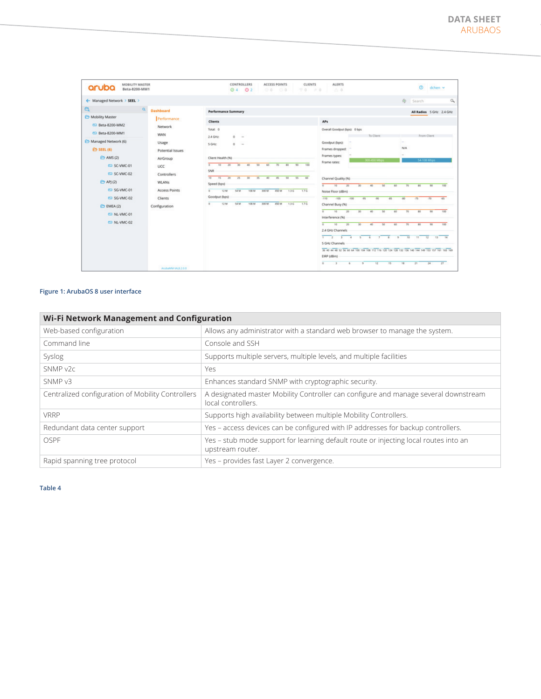| <b>MOBILITY MASTER</b><br>aruba<br>Beta-8200-MM1                     |                                                          | CONTROLLERS<br><b>ACCESS POINTS</b><br><b>CLIENTS</b><br>O <sub>2</sub><br>$\odot$ 4<br>00<br>00<br>70.                                                                                                   | <b>ALERTS</b><br>0.0<br>$= 0$                                                                                                                                                                                                                                                                                                                                                     | $\circ$<br>dchen ~                                                                                   |
|----------------------------------------------------------------------|----------------------------------------------------------|-----------------------------------------------------------------------------------------------------------------------------------------------------------------------------------------------------------|-----------------------------------------------------------------------------------------------------------------------------------------------------------------------------------------------------------------------------------------------------------------------------------------------------------------------------------------------------------------------------------|------------------------------------------------------------------------------------------------------|
| ← Managed Network > SEEL >                                           |                                                          |                                                                                                                                                                                                           |                                                                                                                                                                                                                                                                                                                                                                                   | $\alpha$<br>& Search                                                                                 |
| $e_k$<br>$\alpha$<br>Mobility Master                                 | <b>Dashboard</b><br>Performance                          | <b>Performance Summary</b>                                                                                                                                                                                |                                                                                                                                                                                                                                                                                                                                                                                   | All Radios 5 GHz 2.4 GHz                                                                             |
| CD Beta-8200-MM2<br>CD Beta-8200-MM1<br>Managed Network (6)          | Network<br><b>WAN</b>                                    | <b>Clients</b><br>Total: 0<br>2.4 GHz<br>$0 -$                                                                                                                                                            | <b>APs</b><br>Overall Goodput (bps): 0 bps<br>To Client                                                                                                                                                                                                                                                                                                                           | From Client<br>i an                                                                                  |
| <b>ED SEEL (6)</b><br>$\ominus$ AMS (2)<br>CD SC-VMC-01              | Usage<br>Potential Issues<br>AirGroup<br>UCC             | 5 GHz<br>$\circ$<br>$\sim$<br>Client Health (%)<br>10<br>20<br>60<br>70<br>80<br>90<br>$\overline{a}$<br>30 <sub>2</sub><br>40<br>50<br>100                                                               | Goodput (bps):<br>Frames dropped:<br>Frames types:<br>300-450 Mbps<br>Frame rates:                                                                                                                                                                                                                                                                                                | N/A<br><b>54-108 Mbps</b>                                                                            |
| CD SC-VMC-02<br><b>E</b> APJ (2)<br>CD SG-VMC-01<br>CD SG-VMC-02     | Controllers<br><b>WLANs</b><br><b>Access Points</b>      | SNR<br>$\overline{10}$<br>$45 -$<br>50<br>55<br>$15 -$<br>20<br>25<br>40<br>$40 -$<br>30<br>$35 -$<br>Speed (bps)<br>54 M<br>1.76<br>12 <sub>M</sub><br>1.3 0<br>108 M<br>300 M<br>450 M<br>Goodput (bps) | Channel Quality (%)<br>ᡒ<br>10<br>20<br>50<br>30<br>40<br>60<br>Noise Floor (dBm)<br>$.110 -$<br>$-105$<br>$-100$<br>$-95$<br>$-90$<br>$-85$                                                                                                                                                                                                                                      | 100<br>70<br>80<br>90<br>$-75$<br>$-80$<br>$.70 -$<br>45                                             |
| Clients<br>EMEA (2)<br>Configuration<br>CD NL-VMC-01<br>ED NL-VMC-02 | S4 M<br>1.76<br>12 M<br>108.M<br>450 M<br>1.3 G<br>SOO M | Channel Busy (%)<br>ᡒ<br>10<br>30 <sub>2</sub><br>50<br>10<br>40<br>60<br>Interference (%)                                                                                                                | 80<br>100<br>70<br>90                                                                                                                                                                                                                                                                                                                                                             |                                                                                                      |
|                                                                      | ArubaMMA/UL8.2.0.0                                       |                                                                                                                                                                                                           | ᡒ<br>10<br>20<br>30 <sub>1</sub><br>40<br>50<br>60<br>2.4 GHz Channels<br>$\overline{1}$<br>÷<br>T<br>$\overline{f}$<br>$\overline{6}$<br>$\overline{\phantom{a}}$<br>$\overline{a}$<br>$\sim$<br>5 GHz Channels<br>35 40 44 48 52 56 60 64 100 104 108 112 116 120 124 128 132 135 140 144 149 153 157 161 165 169<br>EIRP (dBm)<br>$\overline{6}$<br>12<br>15<br>$\overline{N}$ | 80<br>100<br>70<br>$80 -$<br>$13 -$<br>11<br>$\overline{12}$<br>14<br>10<br>34<br>$27 -$<br>21<br>18 |

#### **Figure 1: ArubaOS 8 user interface**

| Wi-Fi Network Management and Configuration        |                                                                                                           |  |
|---------------------------------------------------|-----------------------------------------------------------------------------------------------------------|--|
| Web-based configuration                           | Allows any administrator with a standard web browser to manage the system.                                |  |
| Command line                                      | Console and SSH                                                                                           |  |
| Syslog                                            | Supports multiple servers, multiple levels, and multiple facilities                                       |  |
| SNMP v2c                                          | Yes                                                                                                       |  |
| SNMP <sub>v3</sub>                                | Enhances standard SNMP with cryptographic security.                                                       |  |
| Centralized configuration of Mobility Controllers | A designated master Mobility Controller can configure and manage several downstream<br>local controllers. |  |
| <b>VRRP</b>                                       | Supports high availability between multiple Mobility Controllers.                                         |  |
| Redundant data center support                     | Yes – access devices can be configured with IP addresses for backup controllers.                          |  |
| OSPE                                              | Yes - stub mode support for learning default route or injecting local routes into an<br>upstream router.  |  |
| Rapid spanning tree protocol                      | Yes - provides fast Layer 2 convergence.                                                                  |  |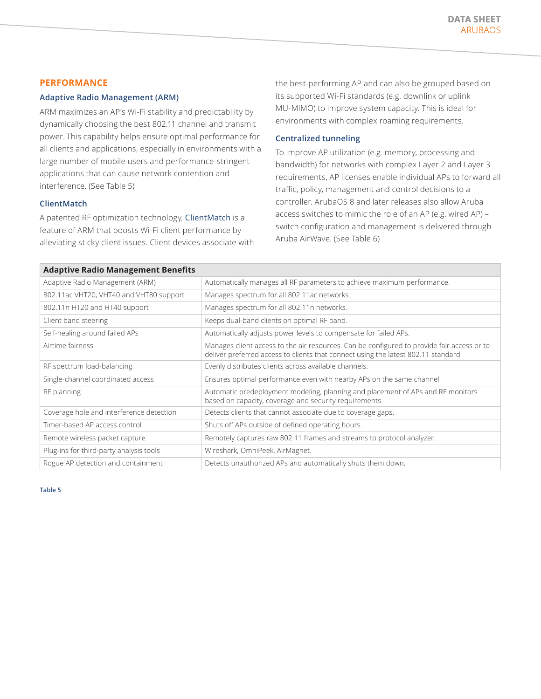## **PERFORMANCE**

#### **Adaptive Radio Management (ARM)**

ARM maximizes an AP's Wi-Fi stability and predictability by dynamically choosing the best 802.11 channel and transmit power. This capability helps ensure optimal performance for all clients and applications, especially in environments with a large number of mobile users and performance-stringent applications that can cause network contention and interference. (See Table 5)

## **ClientMatch**

A patented RF optimization technology, [ClientMatch](https://www.arubanetworks.com/pdf/solutions/TB_ClientMatch.pdf) is a feature of ARM that boosts Wi-Fi client performance by alleviating sticky client issues. Client devices associate with the best-performing AP and can also be grouped based on its supported Wi-Fi standards (e.g. downlink or uplink MU-MIMO) to improve system capacity. This is ideal for environments with complex roaming requirements.

## **Centralized tunneling**

To improve AP utilization (e.g. memory, processing and bandwidth) for networks with complex Layer 2 and Layer 3 requirements, AP licenses enable individual APs to forward all traffic, policy, management and control decisions to a controller. ArubaOS 8 and later releases also allow Aruba access switches to mimic the role of an AP (e.g. wired AP) – switch configuration and management is delivered through Aruba AirWave. (See Table 6)

| <b>Adaptive Radio Management Benefits</b> |                                                                                                                                                                                  |  |
|-------------------------------------------|----------------------------------------------------------------------------------------------------------------------------------------------------------------------------------|--|
| Adaptive Radio Management (ARM)           | Automatically manages all RF parameters to achieve maximum performance.                                                                                                          |  |
| 802.11ac VHT20, VHT40 and VHT80 support   | Manages spectrum for all 802.11ac networks.                                                                                                                                      |  |
| 802.11n HT20 and HT40 support             | Manages spectrum for all 802.11n networks.                                                                                                                                       |  |
| Client band steering                      | Keeps dual-band clients on optimal RF band.                                                                                                                                      |  |
| Self-healing around failed APs            | Automatically adjusts power levels to compensate for failed APs.                                                                                                                 |  |
| Airtime fairness                          | Manages client access to the air resources. Can be configured to provide fair access or to<br>deliver preferred access to clients that connect using the latest 802.11 standard. |  |
| RF spectrum load-balancing                | Evenly distributes clients across available channels.                                                                                                                            |  |
| Single-channel coordinated access         | Ensures optimal performance even with nearby APs on the same channel.                                                                                                            |  |
| RF planning                               | Automatic predeployment modeling, planning and placement of APs and RF monitors<br>based on capacity, coverage and security requirements.                                        |  |
| Coverage hole and interference detection  | Detects clients that cannot associate due to coverage gaps.                                                                                                                      |  |
| Timer-based AP access control             | Shuts off APs outside of defined operating hours.                                                                                                                                |  |
| Remote wireless packet capture            | Remotely captures raw 802.11 frames and streams to protocol analyzer.                                                                                                            |  |
| Plug-ins for third-party analysis tools   | Wireshark, OmniPeek, AirMagnet.                                                                                                                                                  |  |
| Rogue AP detection and containment        | Detects unauthorized APs and automatically shuts them down.                                                                                                                      |  |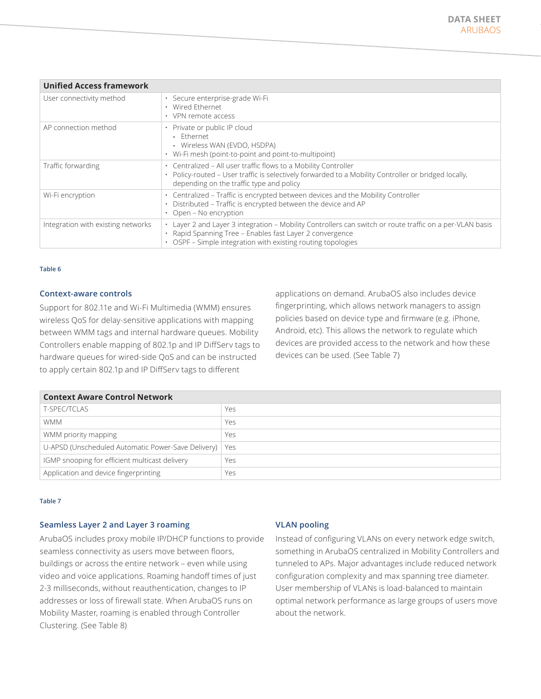| <b>Unified Access framework</b>    |                                                                                                                                                                                                                                               |  |
|------------------------------------|-----------------------------------------------------------------------------------------------------------------------------------------------------------------------------------------------------------------------------------------------|--|
| User connectivity method           | · Secure enterprise-grade Wi-Fi<br>• Wired Ethernet<br>$\cdot$ VPN remote access                                                                                                                                                              |  |
| AP connection method               | • Private or public IP cloud<br>- Fthernet<br>- Wireless WAN (EVDO, HSDPA)<br>$\cdot$ Wi-Fi mesh (point-to-point and point-to-multipoint)                                                                                                     |  |
| Traffic forwarding                 | • Centralized - All user traffic flows to a Mobility Controller<br>· Policy-routed - User traffic is selectively forwarded to a Mobility Controller or bridged locally,<br>depending on the traffic type and policy                           |  |
| Wi-Fi encryption                   | • Centralized – Traffic is encrypted between devices and the Mobility Controller<br>Distributed - Traffic is encrypted between the device and AP<br>Open - No encryption                                                                      |  |
| Integration with existing networks | • Layer 2 and Layer 3 integration - Mobility Controllers can switch or route traffic on a per-VLAN basis<br>Rapid Spanning Tree - Enables fast Layer 2 convergence<br>$\bullet$<br>OSPF – Simple integration with existing routing topologies |  |

#### **Context-aware controls**

Support for 802.11e and Wi-Fi Multimedia (WMM) ensures wireless QoS for delay-sensitive applications with mapping between WMM tags and internal hardware queues. Mobility Controllers enable mapping of 802.1p and IP DiffServ tags to hardware queues for wired-side QoS and can be instructed to apply certain 802.1p and IP DiffServ tags to different

applications on demand. ArubaOS also includes device fingerprinting, which allows network managers to assign policies based on device type and firmware (e.g. iPhone, Android, etc). This allows the network to regulate which devices are provided access to the network and how these devices can be used. (See Table 7)

| <b>Context Aware Control Network</b>                     |     |  |
|----------------------------------------------------------|-----|--|
| <b>T-SPEC/TCLAS</b>                                      | Yes |  |
| <b>WMM</b>                                               | Yes |  |
| WMM priority mapping                                     | Yes |  |
| U-APSD (Unscheduled Automatic Power-Save Delivery)   Yes |     |  |
| IGMP snooping for efficient multicast delivery           | Yes |  |
| Application and device fingerprinting                    | Yes |  |

#### **Table 7**

## **Seamless Layer 2 and Layer 3 roaming**

ArubaOS includes proxy mobile IP/DHCP functions to provide seamless connectivity as users move between floors, buildings or across the entire network – even while using video and voice applications. Roaming handoff times of just 2-3 milliseconds, without reauthentication, changes to IP addresses or loss of firewall state. When ArubaOS runs on Mobility Master, roaming is enabled through Controller Clustering. (See Table 8)

## **VLAN pooling**

Instead of configuring VLANs on every network edge switch, something in ArubaOS centralized in Mobility Controllers and tunneled to APs. Major advantages include reduced network configuration complexity and max spanning tree diameter. User membership of VLANs is load-balanced to maintain optimal network performance as large groups of users move about the network.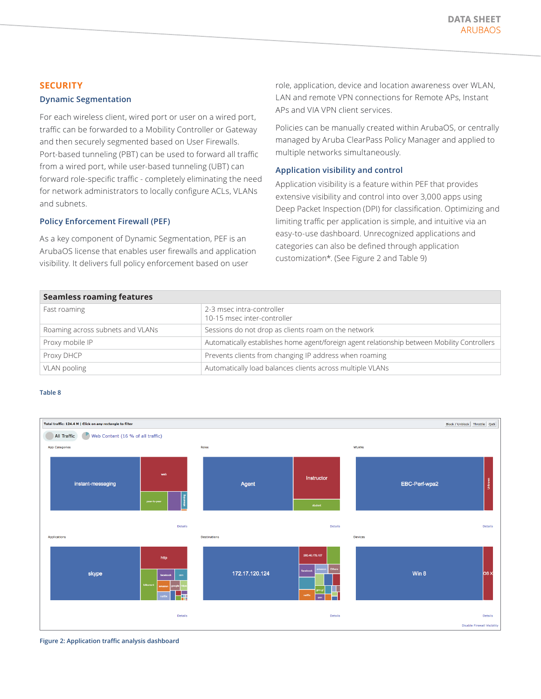## **SECURITY**

#### **Dynamic Segmentation**

For each wireless client, wired port or user on a wired port, traffic can be forwarded to a Mobility Controller or Gateway and then securely segmented based on User Firewalls. Port-based tunneling (PBT) can be used to forward all traffic from a wired port, while user-based tunneling (UBT) can forward role-specific traffic - completely eliminating the need for network administrators to locally configure ACLs, VLANs and subnets.

### **Policy Enforcement Firewall (PEF)**

As a key component of Dynamic Segmentation, PEF is an ArubaOS license that enables user firewalls and application visibility. It delivers full policy enforcement based on user

role, application, device and location awareness over WLAN, LAN and remote VPN connections for Remote APs, Instant APs and VIA VPN client services.

Policies can be manually created within ArubaOS, or centrally managed by Aruba ClearPass Policy Manager and applied to multiple networks simultaneously.

#### **Application visibility and control**

Application visibility is a feature within PEF that provides extensive visibility and control into over 3,000 apps using Deep Packet Inspection (DPI) for classification. Optimizing and limiting traffic per application is simple, and intuitive via an easy-to-use dashboard. Unrecognized applications and categories can also be defined through application customization\*. (See Figure 2 and Table 9)

| <b>Seamless roaming features</b> |  |
|----------------------------------|--|
|                                  |  |

| Seamless Foaming reatures        |                                                                                              |  |
|----------------------------------|----------------------------------------------------------------------------------------------|--|
| Fast roaming                     | 2-3 msec intra-controller<br>10-15 msec inter-controller                                     |  |
| Roaming across subnets and VLANs | Sessions do not drop as clients roam on the network                                          |  |
| Proxy mobile IP                  | Automatically establishes home agent/foreign agent relationship between Mobility Controllers |  |
| Proxy DHCP                       | Prevents clients from changing IP address when roaming                                       |  |
| VLAN pooling                     | Automatically load balances clients across multiple VLANs                                    |  |



**Figure 2: Application traffic analysis dashboard**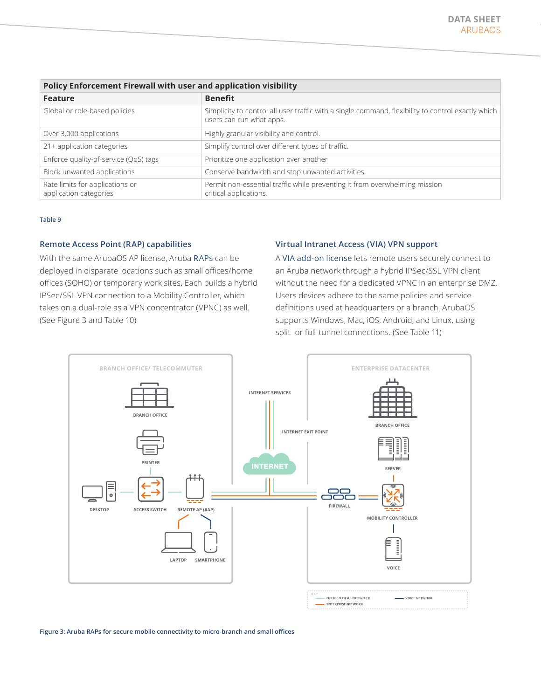| Policy Enforcement Firewall with user and application visibility |                                                                                                                                |  |
|------------------------------------------------------------------|--------------------------------------------------------------------------------------------------------------------------------|--|
| <b>Feature</b>                                                   | <b>Benefit</b>                                                                                                                 |  |
| Global or role-based policies                                    | Simplicity to control all user traffic with a single command, flexibility to control exactly which<br>users can run what apps. |  |
| Over 3,000 applications                                          | Highly granular visibility and control.                                                                                        |  |
| 21+ application categories                                       | Simplify control over different types of traffic.                                                                              |  |
| Enforce quality-of-service (QoS) tags                            | Prioritize one application over another                                                                                        |  |
| Block unwanted applications                                      | Conserve bandwidth and stop unwanted activities.                                                                               |  |
| Rate limits for applications or<br>application categories        | Permit non-essential traffic while preventing it from overwhelming mission<br>critical applications.                           |  |

#### **Remote Access Point (RAP) capabilities**

With the same ArubaOS AP license, Aruba [RAPs](https://www.arubanetworks.com/products/networking/remote-access-points/) can be deployed in disparate locations such as small offices/home offices (SOHO) or temporary work sites. Each builds a hybrid IPSec/SSL VPN connection to a Mobility Controller, which takes on a dual-role as a VPN concentrator (VPNC) as well. (See Figure 3 and Table 10)

#### **Virtual Intranet Access (VIA) VPN support**

A [VIA add-on license](https://www.arubanetworks.com/assets/ds/DS_VIA.pdf) lets remote users securely connect to an Aruba network through a hybrid IPSec/SSL VPN client without the need for a dedicated VPNC in an enterprise DMZ. Users devices adhere to the same policies and service definitions used at headquarters or a branch. ArubaOS supports Windows, Mac, iOS, Android, and Linux, using split- or full-tunnel connections. (See Table 11)



**Figure 3: Aruba RAPs for secure mobile connectivity to micro-branch and small offices**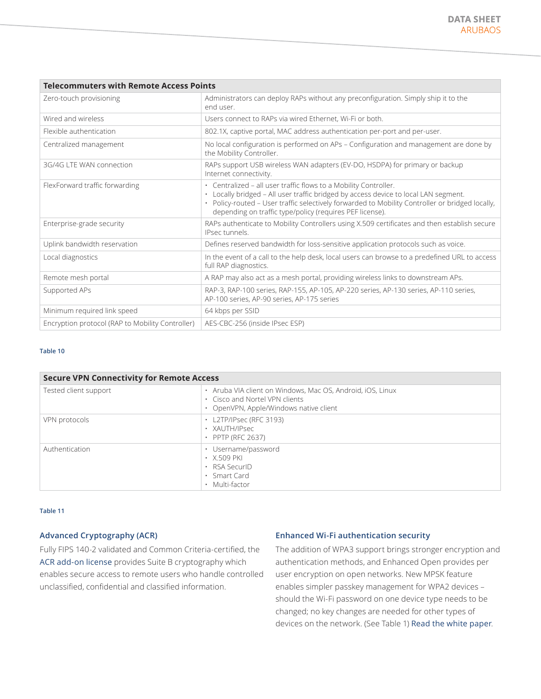| <b>Telecommuters with Remote Access Points</b>                                                                                                                                                                                                                                                                         |  |  |
|------------------------------------------------------------------------------------------------------------------------------------------------------------------------------------------------------------------------------------------------------------------------------------------------------------------------|--|--|
| Administrators can deploy RAPs without any preconfiguration. Simply ship it to the<br>end user.                                                                                                                                                                                                                        |  |  |
| Users connect to RAPs via wired Ethernet. Wi-Fi or both.                                                                                                                                                                                                                                                               |  |  |
| 802.1X, captive portal, MAC address authentication per-port and per-user.                                                                                                                                                                                                                                              |  |  |
| No local configuration is performed on APs - Configuration and management are done by<br>the Mobility Controller.                                                                                                                                                                                                      |  |  |
| RAPs support USB wireless WAN adapters (EV-DO, HSDPA) for primary or backup<br>Internet connectivity.                                                                                                                                                                                                                  |  |  |
| • Centralized - all user traffic flows to a Mobility Controller.<br>• Locally bridged - All user traffic bridged by access device to local LAN segment.<br>· Policy-routed - User traffic selectively forwarded to Mobility Controller or bridged locally,<br>depending on traffic type/policy (requires PEF license). |  |  |
| RAPs authenticate to Mobility Controllers using X.509 certificates and then establish secure<br>IPsec tunnels.                                                                                                                                                                                                         |  |  |
| Defines reserved bandwidth for loss-sensitive application protocols such as voice.                                                                                                                                                                                                                                     |  |  |
| In the event of a call to the help desk, local users can browse to a predefined URL to access<br>full RAP diagnostics.                                                                                                                                                                                                 |  |  |
| A RAP may also act as a mesh portal, providing wireless links to downstream APs.                                                                                                                                                                                                                                       |  |  |
| RAP-3, RAP-100 series, RAP-155, AP-105, AP-220 series, AP-130 series, AP-110 series,<br>AP-100 series, AP-90 series, AP-175 series                                                                                                                                                                                     |  |  |
| 64 kbps per SSID                                                                                                                                                                                                                                                                                                       |  |  |
| AES-CBC-256 (inside IPsec ESP)                                                                                                                                                                                                                                                                                         |  |  |
|                                                                                                                                                                                                                                                                                                                        |  |  |

| <b>Secure VPN Connectivity for Remote Access</b> |                                                                                                                                      |
|--------------------------------------------------|--------------------------------------------------------------------------------------------------------------------------------------|
| Tested client support                            | • Aruba VIA client on Windows, Mac OS, Android, iOS, Linux<br>. Cisco and Nortel VPN clients<br>OpenVPN, Apple/Windows native client |
| VPN protocols                                    | $\cdot$ L2TP/IPsec (RFC 3193)<br>· XAUTH/IPsec<br>• PPTP (RFC 2637)                                                                  |
| Authentication                                   | Username/password<br>$\cdot$ X.509 PKI<br>$\cdot$ RSA SecuriD<br>$\cdot$ Smart Card<br>Multi-factor                                  |

#### **Table 11**

# **Advanced Cryptography (ACR)**

Fully FIPS 140-2 validated and Common Criteria-certified, the [ACR add-on license](https://www.arubanetworks.com/assets/ds/DS_OS_ACR.pdf) provides Suite B cryptography which enables secure access to remote users who handle controlled unclassified, confidential and classified information.

## **Enhanced Wi-Fi authentication security**

The addition of WPA3 support brings stronger encryption and authentication methods, and Enhanced Open provides per user encryption on open networks. New MPSK feature enables simpler passkey management for WPA2 devices – should the Wi-Fi password on one device type needs to be changed; no key changes are needed for other types of devices on the network. (See Table 1) [Read the white paper](https://www.arubanetworks.com/assets/wp/WP_WPA3-Enhanced-Open.pdf).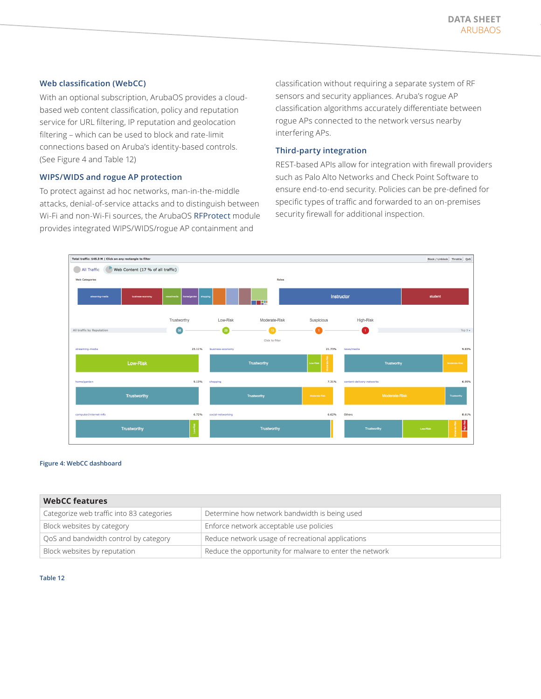## **Web classification (WebCC)**

With an optional subscription, ArubaOS provides a cloudbased web content classification, policy and reputation service for URL filtering, IP reputation and geolocation filtering – which can be used to block and rate-limit connections based on Aruba's identity-based controls. (See Figure 4 and Table 12)

# **WIPS/WIDS and rogue AP protection**

To protect against ad hoc networks, man-in-the-middle attacks, denial-of-service attacks and to distinguish between Wi-Fi and non-Wi-Fi sources, the ArubaOS [RFProtect](https://www.arubanetworks.com/assets/ds/DS_AOS_RFPROTECT.pdf) module provides integrated WIPS/WIDS/rogue AP containment and

classification without requiring a separate system of RF sensors and security appliances. Aruba's rogue AP classification algorithms accurately differentiate between rogue APs connected to the network versus nearby interfering APs.

# **Third-party integration**

REST-based APIs allow for integration with firewall providers such as Palo Alto Networks and Check Point Software to ensure end-to-end security. Policies can be pre-defined for specific types of traffic and forwarded to an on-premises security firewall for additional inspection.



#### **Figure 4: WebCC dashboard**

| <b>WebCC features</b>                     |                                                         |  |
|-------------------------------------------|---------------------------------------------------------|--|
| Categorize web traffic into 83 categories | Determine how network bandwidth is being used           |  |
| Block websites by category                | Enforce network acceptable use policies                 |  |
| QoS and bandwidth control by category     | Reduce network usage of recreational applications       |  |
| Block websites by reputation              | Reduce the opportunity for malware to enter the network |  |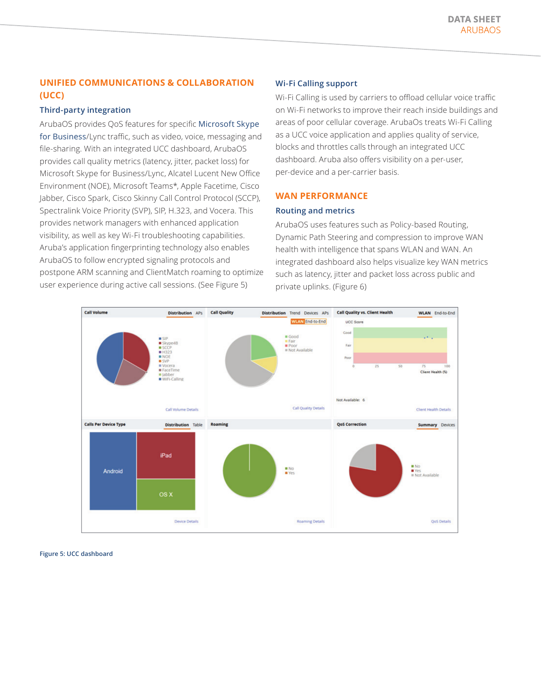# **UNIFIED COMMUNICATIONS & COLLABORATION (UCC)**

#### **Third-party integration**

ArubaOS provides QoS features for specific [Microsoft Skype](https://www.arubanetworks.com/solutions/microsoft-mobile-ucc/)  [for Business](https://www.arubanetworks.com/solutions/microsoft-mobile-ucc/)/Lync traffic, such as video, voice, messaging and file-sharing. With an integrated UCC dashboard, ArubaOS provides call quality metrics (latency, jitter, packet loss) for Microsoft Skype for Business/Lync, Alcatel Lucent New Office Environment (NOE), Microsoft Teams\*, Apple Facetime, Cisco Jabber, Cisco Spark, Cisco Skinny Call Control Protocol (SCCP), Spectralink Voice Priority (SVP), SIP, H.323, and Vocera. This provides network managers with enhanced application visibility, as well as key Wi-Fi troubleshooting capabilities. Aruba's application fingerprinting technology also enables ArubaOS to follow encrypted signaling protocols and postpone ARM scanning and ClientMatch roaming to optimize user experience during active call sessions. (See Figure 5)

# **Wi-Fi Calling support**

Wi-Fi Calling is used by carriers to offload cellular voice traffic on Wi-Fi networks to improve their reach inside buildings and areas of poor cellular coverage. ArubaOs treats Wi-Fi Calling as a UCC voice application and applies quality of service, blocks and throttles calls through an integrated UCC dashboard. Aruba also offers visibility on a per-user, per-device and a per-carrier basis.

### **WAN PERFORMANCE**

#### **Routing and metrics**

ArubaOS uses features such as Policy-based Routing, Dynamic Path Steering and compression to improve WAN health with intelligence that spans WLAN and WAN. An integrated dashboard also helps visualize key WAN metrics such as latency, jitter and packet loss across public and private uplinks. (Figure 6)



**Figure 5: UCC dashboard**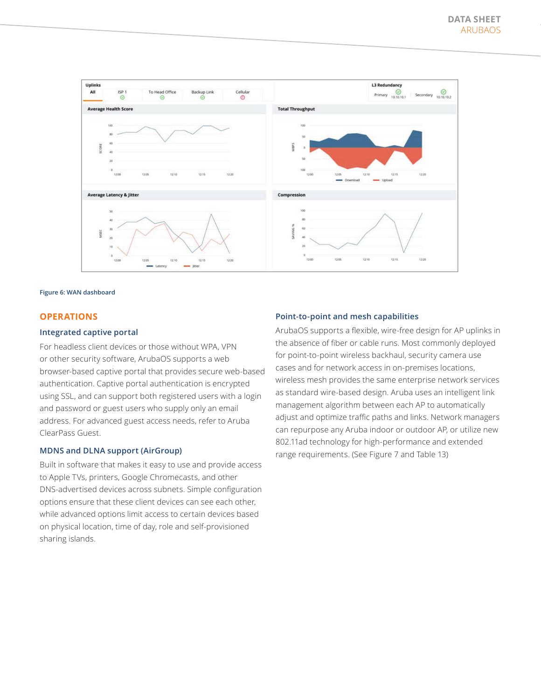

#### **Figure 6: WAN dashboard**

#### **OPERATIONS**

#### **Integrated captive portal**

For headless client devices or those without WPA, VPN or other security software, ArubaOS supports a web browser-based captive portal that provides secure web-based authentication. Captive portal authentication is encrypted using SSL, and can support both registered users with a login and password or guest users who supply only an email address. For advanced guest access needs, refer to Aruba ClearPass Guest.

### **MDNS and DLNA support (AirGroup)**

Built in software that makes it easy to use and provide access to Apple TVs, printers, Google Chromecasts, and other DNS-advertised devices across subnets. Simple configuration options ensure that these client devices can see each other, while advanced options limit access to certain devices based on physical location, time of day, role and self-provisioned sharing islands.

#### **Point-to-point and mesh capabilities**

ArubaOS supports a flexible, wire-free design for AP uplinks in the absence of fiber or cable runs. Most commonly deployed for point-to-point wireless backhaul, security camera use cases and for network access in on-premises locations, wireless mesh provides the same enterprise network services as standard wire-based design. Aruba uses an intelligent link management algorithm between each AP to automatically adjust and optimize traffic paths and links. Network managers can repurpose any Aruba indoor or outdoor AP, or utilize new 802.11ad technology for high-performance and extended range requirements. (See Figure 7 and Table 13)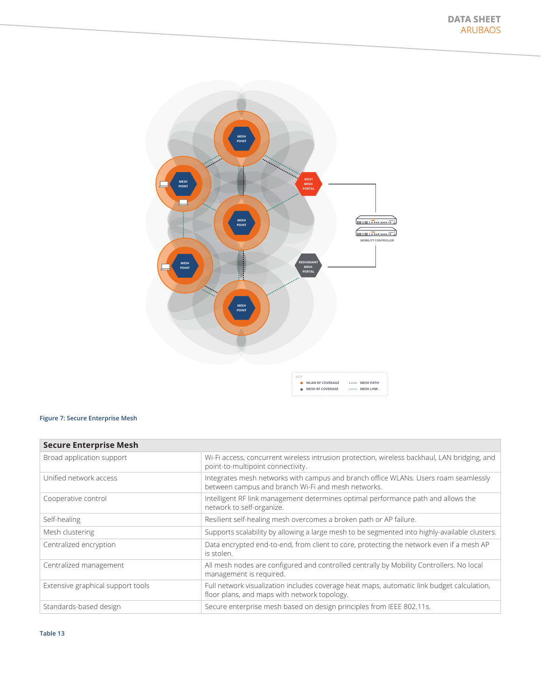

# **Figure 7: Secure Enterprise Mesh**

| <b>Secure Enterprise Mesh</b>     |                                                                                                                                            |  |
|-----------------------------------|--------------------------------------------------------------------------------------------------------------------------------------------|--|
| Broad application support         | Wi-Fi access, concurrent wireless intrusion protection, wireless backhaul, LAN bridging, and<br>point-to-multipoint connectivity.          |  |
| Unified network access            | Integrates mesh networks with campus and branch office WLANs. Users roam seamlessly<br>between campus and branch Wi-Fi and mesh networks.  |  |
| Cooperative control               | Intelligent RF link management determines optimal performance path and allows the<br>network to self-organize.                             |  |
| Self-healing                      | Resilient self-healing mesh overcomes a broken path or AP failure.                                                                         |  |
| Mesh clustering                   | Supports scalability by allowing a large mesh to be segmented into highly-available clusters.                                              |  |
| Centralized encryption            | Data encrypted end-to-end, from client to core, protecting the network even if a mesh AP<br>is stolen.                                     |  |
| Centralized management            | All mesh nodes are configured and controlled centrally by Mobility Controllers. No local<br>management is required.                        |  |
| Extensive graphical support tools | Full network visualization includes coverage heat maps, automatic link budget calculation,<br>floor plans, and maps with network topology. |  |
| Standards-based design            | Secure enterprise mesh based on design principles from IEEE 802.11s.                                                                       |  |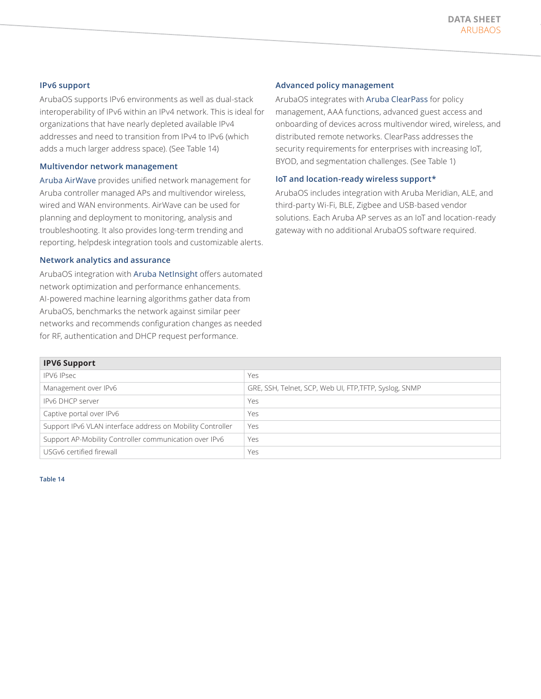# **IPv6 support**

ArubaOS supports IPv6 environments as well as dual-stack interoperability of IPv6 within an IPv4 network. This is ideal for organizations that have nearly depleted available IPv4 addresses and need to transition from IPv4 to IPv6 (which adds a much larger address space). (See Table 14)

#### **Multivendor network management**

[Aruba AirWave](https://www.arubanetworks.com/products/networking/management/airwave/) provides unified network management for Aruba controller managed APs and multivendor wireless, wired and WAN environments. AirWave can be used for planning and deployment to monitoring, analysis and troubleshooting. It also provides long-term trending and reporting, helpdesk integration tools and customizable alerts.

### **Network analytics and assurance**

ArubaOS integration with [Aruba NetInsight](https://www.arubanetworks.com/products/networking/analytics-and-assurance/netinsight/) offers automated network optimization and performance enhancements. AI-powered machine learning algorithms gather data from ArubaOS, benchmarks the network against similar peer networks and recommends configuration changes as needed for RF, authentication and DHCP request performance.

# **Advanced policy management**

ArubaOS integrates with [Aruba ClearPass](https://www.arubanetworks.com/products/security/network-access-control/) for policy management, AAA functions, advanced guest access and onboarding of devices across multivendor wired, wireless, and distributed remote networks. ClearPass addresses the security requirements for enterprises with increasing IoT, BYOD, and segmentation challenges. (See Table 1)

### **IoT and location-ready wireless support\***

ArubaOS includes integration with Aruba Meridian, ALE, and third-party Wi-Fi, BLE, Zigbee and USB-based vendor solutions. Each Aruba AP serves as an IoT and location-ready gateway with no additional ArubaOS software required.

| <b>IPV6 Support</b>                                        |                                                        |  |
|------------------------------------------------------------|--------------------------------------------------------|--|
| <b>IPV6 IPsec</b>                                          | Yes                                                    |  |
| Management over IPv6                                       | GRE, SSH, Telnet, SCP, Web UI, FTP, TFTP, Syslog, SNMP |  |
| <b>IPv6 DHCP server</b>                                    | Yes                                                    |  |
| Captive portal over IPv6                                   | Yes                                                    |  |
| Support IPv6 VLAN interface address on Mobility Controller | Yes                                                    |  |
| Support AP-Mobility Controller communication over IPv6     | Yes                                                    |  |
| USGv6 certified firewall                                   | Yes                                                    |  |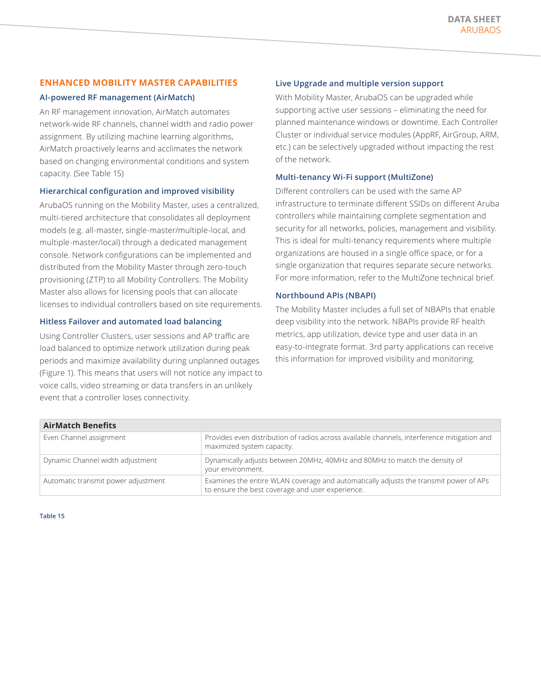# **ENHANCED MOBILITY MASTER CAPABILITIES**

## **AI-powered RF management (AirMatch)**

An RF management innovation, AirMatch automates network-wide RF channels, channel width and radio power assignment. By utilizing machine learning algorithms, AirMatch proactively learns and acclimates the network based on changing environmental conditions and system capacity. (See Table 15)

### **Hierarchical configuration and improved visibility**

ArubaOS running on the Mobility Master, uses a centralized, multi-tiered architecture that consolidates all deployment models (e.g. all-master, single-master/multiple-local, and multiple-master/local) through a dedicated management console. Network configurations can be implemented and distributed from the Mobility Master through zero-touch provisioning (ZTP) to all Mobility Controllers. The Mobility Master also allows for licensing pools that can allocate licenses to individual controllers based on site requirements.

# **Hitless Failover and automated load balancing**

Using Controller Clusters, user sessions and AP traffic are load balanced to optimize network utilization during peak periods and maximize availability during unplanned outages (Figure 1). This means that users will not notice any impact to voice calls, video streaming or data transfers in an unlikely event that a controller loses connectivity.

# **Live Upgrade and multiple version support**

With Mobility Master, ArubaOS can be upgraded while supporting active user sessions – eliminating the need for planned maintenance windows or downtime. Each Controller Cluster or individual service modules (AppRF, AirGroup, ARM, etc.) can be selectively upgraded without impacting the rest of the network.

# **Multi-tenancy Wi-Fi support (MultiZone)**

Different controllers can be used with the same AP infrastructure to terminate different SSIDs on different Aruba controllers while maintaining complete segmentation and security for all networks, policies, management and visibility. This is ideal for multi-tenancy requirements where multiple organizations are housed in a single office space, or for a single organization that requires separate secure networks. For more information, refer to the MultiZone technical brief.

# **Northbound APIs (NBAPI)**

The Mobility Master includes a full set of NBAPIs that enable deep visibility into the network. NBAPIs provide RF health metrics, app utilization, device type and user data in an easy-to-integrate format. 3rd party applications can receive this information for improved visibility and monitoring.

| <b>AirMatch Benefits</b>            |                                                                                                                                           |
|-------------------------------------|-------------------------------------------------------------------------------------------------------------------------------------------|
| Even Channel assignment             | Provides even distribution of radios across available channels, interference mitigation and<br>maximized system capacity.                 |
| Dynamic Channel width adjustment    | Dynamically adjusts between 20MHz, 40MHz and 80MHz to match the density of<br>your environment.                                           |
| Automatic transmit power adjustment | Examines the entire WLAN coverage and automatically adjusts the transmit power of APs<br>to ensure the best coverage and user experience. |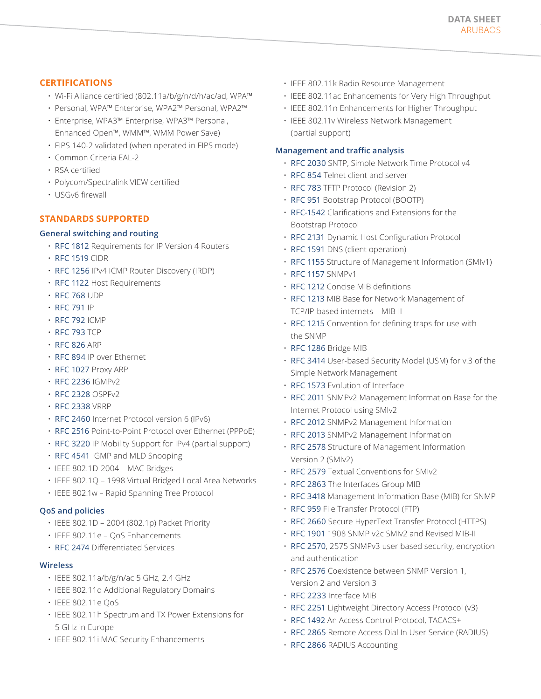# **CERTIFICATIONS**

- Wi-Fi Alliance certified (802.11a/b/g/n/d/h/ac/ad, WPA™
- Personal, WPA™ Enterprise, WPA2™ Personal, WPA2™
- Enterprise, WPA3™ Enterprise, WPA3™ Personal, Enhanced Open™, WMM™, WMM Power Save)
- FIPS 140-2 validated (when operated in FIPS mode)
- Common Criteria EAL-2
- RSA certified
- Polycom/Spectralink VIEW certified
- USGv6 firewall

# **STANDARDS SUPPORTED**

# **General switching and routing**

- [RFC 1812](https://tools.ietf.org/html/rfc1812) Requirements for IP Version 4 Routers
- [RFC 1519](https://tools.ietf.org/html/rfc1519) CIDR
- [RFC 1256](https://tools.ietf.org/html/rfc1256) IPv4 ICMP Router Discovery (IRDP)
- [RFC 1122](https://tools.ietf.org/html/rfc1122) Host Requirements
- [RFC 768](https://tools.ietf.org/html/rfc768) UDP
- [RFC 791](https://tools.ietf.org/html/rfc791) IP
- [RFC 792](https://tools.ietf.org/html/rfc792) ICMP
- [RFC 793](https://tools.ietf.org/html/rfc793) TCP
- [RFC 826](https://tools.ietf.org/html/rfc826) ARP
- [RFC 894](https://tools.ietf.org/html/rfc894) IP over Ethernet
- [RFC 1027](https://tools.ietf.org/html/rfc1027) Proxy ARP
- [RFC 2236](https://tools.ietf.org/html/rfc2236) IGMPv2
- [RFC 2328](https://tools.ietf.org/html/rfc2328) OSPFv2
- [RFC 2338](https://tools.ietf.org/html/rfc2338) VRRP
- [RFC 2460](https://tools.ietf.org/html/rfc2460) Internet Protocol version 6 (IPv6)
- [RFC 2516](https://tools.ietf.org/html/rfc2516) Point-to-Point Protocol over Ethernet (PPPoE)
- [RFC 3220](https://tools.ietf.org/html/rfc3220) IP Mobility Support for IPv4 (partial support)
- [RFC 4541](https://tools.ietf.org/html/rfc4541) IGMP and MLD Snooping
- IEEE 802.1D-2004 MAC Bridges
- IEEE 802.1Q 1998 Virtual Bridged Local Area Networks
- IEEE 802.1w Rapid Spanning Tree Protocol

### **QoS and policies**

- IEEE 802.1D 2004 (802.1p) Packet Priority
- IEEE 802.11e QoS Enhancements
- [RFC 2474](https://tools.ietf.org/html/rfc2474) Differentiated Services

### **Wireless**

- IEEE 802.11a/b/g/n/ac 5 GHz, 2.4 GHz
- IEEE 802.11d Additional Regulatory Domains
- IEEE 802.11e QoS
- IEEE 802.11h Spectrum and TX Power Extensions for 5 GHz in Europe
- IEEE 802.11i MAC Security Enhancements
- IEEE 802.11k Radio Resource Management
- IEEE 802.11ac Enhancements for Very High Throughput
- IEEE 802.11n Enhancements for Higher Throughput
- IEEE 802.11v Wireless Network Management (partial support)

### **Management and traffic analysis**

- [RFC 2030](https://tools.ietf.org/html/rfc2030) SNTP, Simple Network Time Protocol v4
- [RFC 854](https://tools.ietf.org/html/rfc854) Telnet client and server
- [RFC 783](https://tools.ietf.org/html/rfc783) TFTP Protocol (Revision 2)
- [RFC 951](https://tools.ietf.org/html/rfc951) Bootstrap Protocol (BOOTP)
- [RFC-1542](https://tools.ietf.org/html/rfc1542) Clarifications and Extensions for the Bootstrap Protocol
- [RFC 2131](https://tools.ietf.org/html/rfc2131) Dynamic Host Configuration Protocol
- [RFC 1591](https://tools.ietf.org/html/rfc1591) DNS (client operation)
- [RFC 1155](https://tools.ietf.org/html/rfc1155) Structure of Management Information (SMIv1)
- [RFC 1157](https://tools.ietf.org/html/rfc1157) SNMPv1
- [RFC 1212](https://tools.ietf.org/html/rfc1212) Concise MIB definitions
- [RFC 1213](https://tools.ietf.org/html/rfc1213) MIB Base for Network Management of TCP/IP-based internets – MIB-II
- [RFC 1215](https://tools.ietf.org/html/rfc1215) Convention for defining traps for use with the SNMP
- [RFC 1286](https://tools.ietf.org/html/rfc1286) Bridge MIB
- [RFC 3414](https://tools.ietf.org/html/rfc3414) User-based Security Model (USM) for v.3 of the Simple Network Management
- [RFC 1573](https://tools.ietf.org/html/rfc1573) Evolution of Interface
- [RFC 2011](https://tools.ietf.org/html/rfc2011) SNMPv2 Management Information Base for the Internet Protocol using SMIv2
- [RFC 2012](https://tools.ietf.org/html/rfc2012) SNMPv2 Management Information
- [RFC 2013](https://tools.ietf.org/html/rfc2013) SNMPv2 Management Information
- [RFC 2578](https://tools.ietf.org/html/rfc2578) Structure of Management Information Version 2 (SMIv2)
- [RFC 2579](https://tools.ietf.org/html/rfc2579) Textual Conventions for SMIv2
- [RFC 2863](https://tools.ietf.org/html/rfc2863) The Interfaces Group MIB
- [RFC 3418](https://tools.ietf.org/html/rfc3418) Management Information Base (MIB) for SNMP
- [RFC 959](https://tools.ietf.org/html/rfc959) File Transfer Protocol (FTP)
- [RFC 2660](https://tools.ietf.org/html/rfc2660) Secure HyperText Transfer Protocol (HTTPS)
- [RFC 1901](https://tools.ietf.org/html/rfc1901) 1908 SNMP v2c SMIv2 and Revised MIB-II
- [RFC 2570](https://tools.ietf.org/html/rfc2570), 2575 SNMPv3 user based security, encryption and authentication
- [RFC 2576](https://tools.ietf.org/html/rfc2576) Coexistence between SNMP Version 1, Version 2 and Version 3
- [RFC 2233](https://tools.ietf.org/html/rfc2233) Interface MIB
- [RFC 2251](https://tools.ietf.org/html/rfc2251) Lightweight Directory Access Protocol (v3)
- [RFC 1492](https://tools.ietf.org/html/rfc1492) An Access Control Protocol, TACACS+
- [RFC 2865](https://tools.ietf.org/html/rfc2865) Remote Access Dial In User Service (RADIUS)
- [RFC 2866](https://tools.ietf.org/html/rfc2866) RADIUS Accounting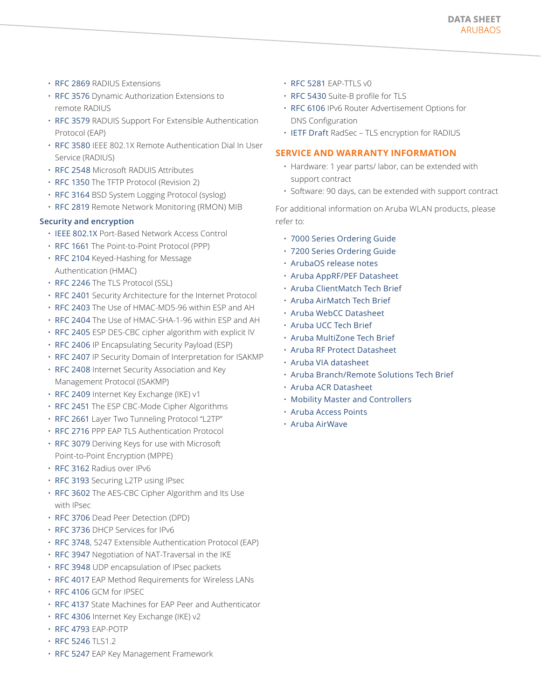- [RFC 2869](https://tools.ietf.org/html/rfc2869) RADIUS Extensions
- [RFC 3576](https://tools.ietf.org/html/rfc3576) Dynamic Authorization Extensions to remote RADIUS
- [RFC 3579](https://tools.ietf.org/html/rfc3579) RADUIS Support For Extensible Authentication Protocol (EAP)
- [RFC 3580](https://tools.ietf.org/html/rfc3580) IEEE 802.1X Remote Authentication Dial In User Service (RADIUS)
- [RFC 2548](https://tools.ietf.org/html/rfc2548) Microsoft RADUIS Attributes
- [RFC 1350](https://tools.ietf.org/html/rfc1350) The TFTP Protocol (Revision 2)
- [RFC 3164](https://tools.ietf.org/html/rfc3164) BSD System Logging Protocol (syslog)
- [RFC 2819](https://tools.ietf.org/html/rfc2819) Remote Network Monitoring (RMON) MIB

# **Security and encryption**

- [IEEE 802.1X](http://standards.ieee.org/about/get/802/802.1.html) Port-Based Network Access Control
- [RFC 1661](https://tools.ietf.org/html/rfc1661) The Point-to-Point Protocol (PPP)
- [RFC 2104](https://www.ietf.org/rfc/rfc2104.txt) Keyed-Hashing for Message Authentication (HMAC)
- [RFC 2246](https://tools.ietf.org/html/rfc2246) The TLS Protocol (SSL)
- [RFC 2401](https://tools.ietf.org/html/rfc2401) Security Architecture for the Internet Protocol
- [RFC 2403](https://tools.ietf.org/html/rfc2403) The Use of HMAC-MD5-96 within ESP and AH
- [RFC 2404](https://tools.ietf.org/html/rfc2404) The Use of HMAC-SHA-1-96 within ESP and AH
- [RFC 2405](https://tools.ietf.org/html/rfc2405) ESP DES-CBC cipher algorithm with explicit IV
- [RFC 2406](https://tools.ietf.org/html/rfc2406) IP Encapsulating Security Payload (ESP)
- [RFC 2407](http://tools.ietf.org/html/rfc2407) IP Security Domain of Interpretation for ISAKMP
- [RFC 2408](https://tools.ietf.org/html/rfc2408) Internet Security Association and Key Management Protocol (ISAKMP)
- [RFC 2409](https://tools.ietf.org/html/rfc2409) Internet Key Exchange (IKE) v1
- [RFC 2451](https://tools.ietf.org/html/rfc2451) The ESP CBC-Mode Cipher Algorithms
- [RFC 2661](https://tools.ietf.org/html/rfc2661) Layer Two Tunneling Protocol "L2TP"
- [RFC 2716](https://tools.ietf.org/html/rfc2716) PPP EAP TLS Authentication Protocol
- [RFC 3079](https://tools.ietf.org/html/rfc3079) Deriving Keys for use with Microsoft Point-to-Point Encryption (MPPE)
- [RFC 3162](http://tools.ietf.org/html/rfc3162) Radius over IPv6
- [RFC 3193](https://tools.ietf.org/html/rfc3193) Securing L2TP using IPsec
- [RFC 3602](https://tools.ietf.org/html/rfc3602) The AES-CBC Cipher Algorithm and Its Use with IPsec
- [RFC 3706](https://tools.ietf.org/html/rfc3706) Dead Peer Detection (DPD)
- [RFC 3736](https://tools.ietf.org/html/rfc3736) DHCP Services for IPv6
- [RFC 3748](https://tools.ietf.org/html/rfc3748), 5247 Extensible Authentication Protocol (EAP)
- [RFC 3947](http://www.ietf.org/rfc/rfc3947.txt) Negotiation of NAT-Traversal in the IKE
- [RFC 3948](https://tools.ietf.org/html/rfc3948) UDP encapsulation of IPsec packets
- [RFC 4017](https://tools.ietf.org/html/rfc4017) EAP Method Requirements for Wireless LANs
- [RFC 4106](http://tools.ietf.org/html/rfc4106) GCM for IPSEC
- [RFC 4137](https://tools.ietf.org/html/rfc4137) State Machines for EAP Peer and Authenticator
- [RFC 4306](http://tools.ietf.org/html/rfc4306) Internet Key Exchange (IKE) v2
- [RFC 4793](https://tools.ietf.org/html/rfc4793) EAP-POTP
- [RFC 5246](http://tools.ietf.org/html/rfc5246) TLS1.2
- [RFC 5247](http://tools.ietf.org/html/rfc5247) EAP Key Management Framework
- [RFC 5281](https://tools.ietf.org/html/rfc5281) EAP-TTLS v0
- [RFC 5430](http://tools.ietf.org/html/rfc5430) Suite-B profile for TLS
- [RFC 6106](https://tools.ietf.org/html/rfc6106) IPv6 Router Advertisement Options for DNS Configuration
- [IETF Draft](https://tools.ietf.org/html/draft-ietf-radext-radsec-12) RadSec TLS encryption for RADIUS

# **SERVICE AND WARRANTY INFORMATION**

- Hardware: 1 year parts/ labor, can be extended with support contract
- Software: 90 days, can be extended with support contract

For additional information on Aruba WLAN products, please refer to:

- [7000 Series Ordering Guide](https://www.arubanetworks.com/assets/og/OG_7000Series.pdf)
- [7200 Series Ordering Guide](https://www.arubanetworks.com/assets/og/OG_7200Series.pdf)
- [ArubaOS release notes](file://localhost/%E2%80%A2%2509https/:support.arubanetworks.com:Documentation:tabid:77:DMXModule:512:EntryId:8862:Default.aspx)
- [Aruba AppRF/PEF Datasheet](https://www.arubanetworks.com/assets/ds/DS_PEF.pdf)
- [Aruba ClientMatch Tech Brief](https://www.arubanetworks.com/pdf/solutions/TB_ClientMatch.pdf)
- [Aruba AirMatch Tech Brief](https://www.arubanetworks.com/assets/tg/TB_AirMatch.pdf)
- [Aruba WebCC Datasheet](file://localhost/%E2%80%A2%2509https/:www.arubanetworks.com:assets:ds:DS_WebCC.pdf)
- [Aruba UCC Tech Brief](https://www.arubanetworks.com/pdf/solutions/EB_MobileUC.pdf)
- [Aruba MultiZone Tech Brief](https://www.arubanetworks.com/assets/ds/DS_ArubaMultiZone.pdf)
- [Aruba RF Protect Datasheet](https://www.arubanetworks.com/assets/ds/DS_AOS_RFPROTECT.pdf)
- [Aruba VIA datasheet](https://www.arubanetworks.com/assets/ds/DS_VIA.pdf)
- [Aruba Branch/Remote Solutions Tech Brief](https://www.arubanetworks.com/assets/ds/DS_VIA.pdf)
- [Aruba ACR Datasheet](file://localhost/%E2%80%A2%2509https/:www.arubanetworks.com:assets:ds:DS_OS_ACR.pdf)
- [Mobility Master and Controllers](file://localhost/%E2%80%A2%2509https/:www.arubanetworks.com:products:networking:controllers)
- [Aruba Access Points](https://www.arubanetworks.com/products/networking/access-points/)
- [Aruba AirWave](https://www.arubanetworks.com/products/networking/management/airwave/)